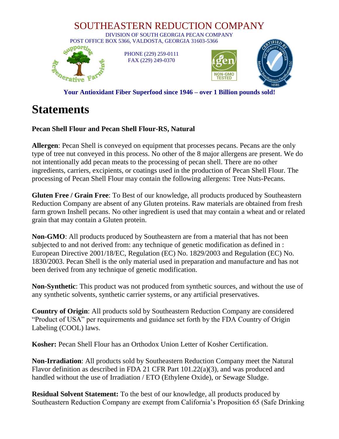

**Your Antioxidant Fiber Superfood since 1946 – over 1 Billion pounds sold!**

## **Statements**

## **Pecan Shell Flour and Pecan Shell Flour-RS, Natural**

**Allergen**: Pecan Shell is conveyed on equipment that processes pecans. Pecans are the only type of tree nut conveyed in this process. No other of the 8 major allergens are present. We do not intentionally add pecan meats to the processing of pecan shell. There are no other ingredients, carriers, excipients, or coatings used in the production of Pecan Shell Flour. The processing of Pecan Shell Flour may contain the following allergens: Tree Nuts-Pecans.

**Gluten Free / Grain Free**: To Best of our knowledge, all products produced by Southeastern Reduction Company are absent of any Gluten proteins. Raw materials are obtained from fresh farm grown Inshell pecans. No other ingredient is used that may contain a wheat and or related grain that may contain a Gluten protein.

**Non-GMO**: All products produced by Southeastern are from a material that has not been subjected to and not derived from: any technique of genetic modification as defined in : European Directive 2001/18/EC, Regulation (EC) No. 1829/2003 and Regulation (EC) No. 1830/2003. Pecan Shell is the only material used in preparation and manufacture and has not been derived from any technique of genetic modification.

**Non-Synthetic**: This product was not produced from synthetic sources, and without the use of any synthetic solvents, synthetic carrier systems, or any artificial preservatives.

**Country of Origin**: All products sold by Southeastern Reduction Company are considered "Product of USA" per requirements and guidance set forth by the FDA Country of Origin Labeling (COOL) laws.

**Kosher:** Pecan Shell Flour has an Orthodox Union Letter of Kosher Certification.

**Non-Irradiation**: All products sold by Southeastern Reduction Company meet the Natural Flavor definition as described in FDA 21 CFR Part 101.22(a)(3), and was produced and handled without the use of Irradiation / ETO (Ethylene Oxide), or Sewage Sludge.

**Residual Solvent Statement:** To the best of our knowledge, all products produced by Southeastern Reduction Company are exempt from California's Proposition 65 (Safe Drinking